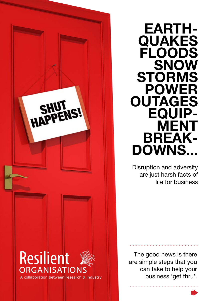

**EARTH- QUAKES FLOODS SNOW STORMS POWER OUTAGES EQUIP- MENT DOWNS...** 

Disruption and adversity are just harsh facts of life for business

The good news is there are simple steps that you can take to help your business 'get thru'.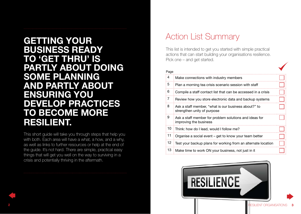### **GETTING YOUR BUSINESS READY TO 'GET THRU' IS PARTLY ABOUT DOING SOME PLANNING AND PARTLY ABOUT ENSURING YOU DEVELOP PRACTICES TO BECOME MORE RESILIENT.**

This short guide will take you through steps that help you with both. Each area will have a what, a how, and a why, as well as links to further resources or help at the end of the guide. It's not hard. There are simple, practical easy things that will get you well on the way to surviving in a crisis and potentially thriving in the aftermath.

### Action List Summary

This list is intended to get you started with simple practical actions that can start building your organisations resilience. Pick one – and get started.

| Page           |                                                                                     |  |  |  |
|----------------|-------------------------------------------------------------------------------------|--|--|--|
| 4              | Make connections with industry members                                              |  |  |  |
| 5              | Plan a morning tea crisis scenario session with staff                               |  |  |  |
| 6              | Compile a staff contact list that can be accessed in a crisis                       |  |  |  |
| $\overline{7}$ | Review how you store electronic data and backup systems                             |  |  |  |
| 8              | Ask a staff member, "what is our business about?" to<br>strengthen unity of purpose |  |  |  |
| 9              | Ask a staff member for problem solutions and ideas for<br>improving the business    |  |  |  |
| 10             | Think: how do I lead, would I follow me?                                            |  |  |  |
| 11             | Organise a social event - get to know your team better                              |  |  |  |
| 12             | Test your backup plans for working from an alternate location                       |  |  |  |
| 13             | Make time to work ON your business, not just in it                                  |  |  |  |

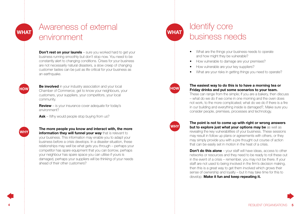**HOW** 

**WHY** 

## Awareness of external environment

**Don't rest on your laurels** – sure you worked hard to get your business running smoothly but don't stop now. You need to be constantly alert to changing conditions. Crises for your business are not necessarily natural disasters, a slow creep of changing customer tastes can be just as life critical for your business as an earthquake.

**Be involved** in your industry association and your local Chamber of Commerce; get to know your neighbours, your customers, your suppliers, your competitors, your local community.

**Review** – is your insurance cover adequate for today's environment?

**Ask** – Why would people stop buying from us?

**The more people you know and interact with, the more information they will funnel your way** that is relevant to your business. This information may enable you to adapt your business before a crisis develops. In a disaster situation, these relationships may well be what gets you through – perhaps your competitor has spare equipment that you can borrow, perhaps your neighbour has spare space you can utilise if yours is damaged, perhaps your suppliers will be thinking of your needs ahead of their other customers?

## **WHAT**

**HOW** 

**WHY** 

### Identify core business needs

- What are the things your business needs to operate and how might they be vulnerable?
- How vulnerable to damage are your premises?
- How vulnerable are your key suppliers?
- What are your risks in getting things you need to operate?

#### **The easiest way to do this is to have a morning tea or Friday drinks and put some scenarios to your team.**

These can range from the simple; If you are a bakery, then discuss – what do we do if we come in one morning and the oven does not work, to the more complicated; what do we do if there is a fire in our building and everything inside is damaged?, Make sure you consider people, premises, processes and technology.

**The point is not to come up with right or wrong answers but to explore just what your options may be** as well as revealing the key vulnerabilities of your business. These sessions may result in follow up plans or agreements with others, or they may simply provide you with a pre thought out course of action that can be easily set in motion in the heat of a crisis.

**Don't do this alone** – your staff will have ideas, access to other networks or resources and they need to be ready to roll these out in the event of a crisis – remember, you may not be there. If your staff are not used to being involved in the firm's decision making, then this is a great way to get them involved which grows their sense of ownership and loyalty – but it may take time for this to develop. **Make it fun and keep repeating it.** 

**4** RESILIENT ORGANISATIONS **5**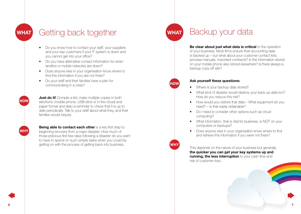**HOW** 

**WHY** 

### Getting back together

- Do you know how to contact your staff, your suppliers and your key customers if your IT system is down and you cannot get into your office?
- Do you have alternative contact information for when landline or mobile networks are down?
- Does anyone else in your organisation know where to find this information if you are not there?
- Do your staff and their families have a plan for communicating in a crisis?

**Just do it!** Compile a list; make multiple copies in both electronic (mobile phone, USB stick or in the cloud) and paper format and diary a reminder to check that it is up to date periodically. Talk to your staff about what they, and their families would require.

**Being able to contact each other** is a key first step to beginning recovery from a major disaster. How much of those precious first few days following a disaster do you want to have to spend on such simple tasks when you could be getting on with the process of getting back into business.

### **WHAT**

**HOW** 

**WHY** 

### Backup your data

**Be clear about just what data is critical** to the operation of your business. Most firms ensure their accounting data is backed up – but what about your customer contact lists, process manuals, important contracts? Is the information stored on your mobile phone also stored elsewhere? Is there always a backup copy off site?

#### **Ask yourself these questions:**

- Where is your backup data stored?
- What kind of disaster would destroy your back up data too? How do you reduce this risk?
- How would you restore that data What equipment do you need? – is that easily obtainable?
- Do I need to consider other options such as cloud computing?
- What information, that is vital for business, is NOT on your computers or backups?
- Does anyone else in your organisation know where to find and retrieve this information if you were not there?

This depends on the nature of your business but generally **the quicker you can get your key systems up and running, the less interruption** to your cash-flow and risk of customer loss.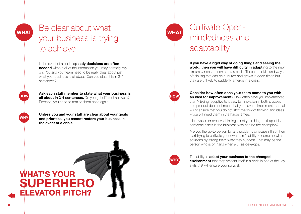**HOW** 

**WHY** 

## Be clear about what your business is trying to achieve

In the event of a crisis, **speedy decisions are often needed** without all of the information you may normally rely on. You and your team need to be really clear about just what your business is all about. Can you state this in 3-4 sentences?

**Ask each staff member to state what your business is all about in 3-4 sentences.** Do you get different answers? Perhaps, you need to remind them once again!

**Unless you and your staff are clear about your goals and priorities, you cannot restore your business in the event of a crisis.** 



# **WHAT**

## Cultivate Openmindedness and adaptability

**If you have a rigid way of doing things and seeing the world, then you will have difficulty in adapting** to the new circumstances presented by a crisis. These are skills and ways of thinking that can be nurtured and grown in good times but they are unlikely to suddenly emerge in a crisis.

## **HOW**

**Consider how often does your team come to you with an idea for improvement?** How often have you implemented them? Being receptive to ideas, to innovation in both process and product does not mean that you have to implement them all – just ensure that you do not stop the flow of thinking and ideas – you will need them in the harder times.

If innovation or creative thinking is not your thing, perhaps it is someone else's in the business who can be the champion?

Are you the go-to person for any problems or issues? If so, then start trying to cultivate your own team's ability to come up with solutions by asking them what they suggest. That may be the person who is on hand when a crisis develops.

### **WHY**

The ability to **adapt your business to the changed environment** that may present itself in a crisis is one of the key skills that will ensure your survival.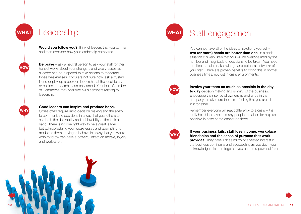(HOW)

**WHY** 

### **Leadership**

**Would you follow you?** Think of leaders that you admire and then consider how your leadership compares.

**Be brave** – ask a neutral person to ask your staff for their honest views about your strengths and weaknesses as a leader and be prepared to take actions to moderate those weaknesses. If you are not sure how, ask a trusted friend or pick up a book on leadership at the local library or on-line. Leadership can be learned. Your local Chamber of Commerce may offer free skills seminars relating to leadership.

#### **Good leaders can inspire and produce hope.**

Crises often require rapid decision making and the ability to communicate decisions in a way that gets others to see both the desirability and achievability of the task at hand. There is no one right way to be a great leader but acknowledging your weaknesses and attempting to moderate them – trying to behave in a way that you would wish to follow can have a powerful effect on morale, loyalty and work-effort.

### **WHAT**

### Staff engagement

You cannot have all of the ideas or solutions yourself – **two (or more) heads are better than one**. In a crisis situation it is very likely that you will be overwhelmed by the number and magnitude of decisions to be taken. You need to utilise the talents, knowledge and potential networks of your staff. There are proven benefits to doing this in normal business times, not just in crisis environments.

### **HOW**

**WHY** 

#### **Involve your team as much as possible in the day**

**to day** decision making and running of the business. Encourage their sense of ownership and pride in the company – make sure there is a feeling that you are all in it together.

Remember everyone will react differently to a crisis – it is really helpful to have as many people to call on for help as possible in case some cannot be there.

**If your business fails, staff lose income, workplace friendships and the sense of purpose that work** 

**provides.** They have just as much of a vested interest in the business continuing and succeeding as you do. If you acknowledge this then together you can be a powerful force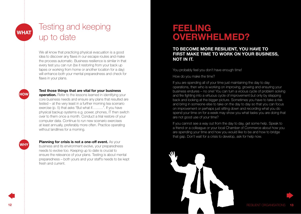(HOW)

(WHY)

## Testing and keeping up to date

We all know that practicing physical evacuation is a good idea to discover any flaws in our escape routes and make the process automatic. Business resilience is similar in that every test you can run (be it restoring from your back up tapes or working from home or another location for a day) will enhance both your mental preparedness and check for flaws in your plans.

#### **Test those things that are vital for your business**

**operation.** Refer to the lessons learned in identifying your core business needs and ensure any plans that resulted are tested – at the very least in a further morning tea scenario exercise (p. 5) that asks "But what if………". If you have physical backup systems e.g. power, phones, IT then switch over to them once a month. Conduct a trial restore of your computer data. Continue to run new scenario exercises at least annually, preferably more often. Practice operating without landlines for a morning.

**Planning for crisis is not a one-off event.** As your business and its environment evolve, your preparedness

needs to evolve too. Keeping up to date is crucial to ensure the relevance of your plans. Testing is about mental preparedness – both yours and your staff's needs to be kept fresh and current.

### **FEELING OVERWHELMED?**

#### **TO BECOME MORE RESILIENT, YOU HAVE TO FIRST MAKE TIME TO WORK ON YOUR BUSINESS, NOT IN IT.**

You probably feel you don't have enough time!

How do you make the time?

If you are spending all of your time just maintaining the day to day operations, then who is working on improving, growing and ensuring your business endures – no one! You can turn a vicious cycle of problem solving and fire fighting into a virtuous cycle of improvement but only by stepping back and looking at the bigger picture. Sometimes you have to take a risk and bring in someone else to take on the day to day so that you can focus on improvement or perhaps just sitting down and recording what you do spend your time on for a week may show you what tasks you are doing that are not good use of your time?

If you cannot see a way out from the day to day, get some help. Speak to a friend or a colleague or your local Chamber of Commerce about how you are spending your time and how you would like to be and how to bridge that gap. Don't wait for a crisis to develop, ask for help now.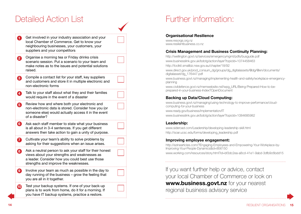### Detailed Action List

| 0                     | Get involved in your industry association and your<br>local Chamber of Commerce. Get to know your<br>neighbouring businesses, your customers, your<br>suppliers and your competitors                |  |
|-----------------------|-----------------------------------------------------------------------------------------------------------------------------------------------------------------------------------------------------|--|
| 2                     | Organise a morning tea or Friday drinks crisis<br>scenario session. Put a scenario to your team and<br>make notes as to the issues and potential solutions<br>raised.                               |  |
| 3                     | Compile a contact list for your staff, key suppliers<br>and customers and store it in multiple electronic and<br>non-electronic forms                                                               |  |
| 4                     | Talk to your staff about what they and their families<br>would require in the event of a disaster                                                                                                   |  |
| 6                     | Review how and where both your electronic and<br>non-electronic data is stored. Consider how you (or<br>someone else) would actually access it in the event<br>of a disaster?                       |  |
| 6                     | Ask each staff member to state what your business<br>is all about in 3-4 sentences. If you get different<br>answers then take action to gain a unity of purpose.                                    |  |
| 7                     | Cultivate your team's ability to solve problems by<br>asking for their suggestions when an issue arises.                                                                                            |  |
| 8                     | Ask a neutral person to ask your staff for their honest<br>views about your strengths and weaknesses as<br>a leader. Consider how you could best use those<br>strengths and improve the weaknesses. |  |
| $\boldsymbol{\Theta}$ | Involve your team as much as possible in the day to<br>day running of the business - grow the feeling that<br>you are all in it together.                                                           |  |
| $\boldsymbol{\Phi}$   | Test your backup systems. If one of your back-up<br>plans is to work from home, do it for a morning. If<br>you have IT backup systems, practice a restore.                                          |  |

## Further information:

#### **Organisational Resilience**

www.resorgs.org.nz www.resilientbusiness.co.nz

#### **Crisis Management and Business Continuity Planning:**

http://wellington.govt.nz/services/emergencymgmt/pdfs/busguide.pdf www.businesslink.gov.uk/bdotg/action/layer?topicId=1074458463 http://toolkit.smallbiz.nsw.gov.au/chapter/18/92 www.direct.gov.uk/prod\_consum\_dg/groups/dg\_digitalassets/@dg/@en/documents/ digitalasset/dg\_176447.pdf www.business.govt.nz/managing/implementing-health-and-safety/workplace-emergencyplanning www.civildefence.govt.nz/memwebsite.nsf/wpg\_URL/Being-Prepared-How-to-beprepared-in-your-business-Index?OpenDocument

#### **Backing up Data/Cloud Computing:**

www.business.govt.nz/managing/using-technology-to-improve-performance/cloudcomputing-for-your-business www.ready.gov/business/implementation/IT www.businesslink.gov.uk/bdotg/action/layer?topicId=1084685982

#### **Leadership:**

www.sideroad.com/Leadership/developing-leadership-skill.html http://soar.ucsc.edu/forms/developing\_leadership.pdf

#### **Improving employee engagement:**

http://ezinearticles.com/?Engaging-Employees-and-Empowering-Your-Workplace-by-Improving-Your-People-Dynamics&id=856150 www.working.com/resources/story.html?id=bf3dc2ea-a8cd-41e1-9abd-3dfb9c6bdd15

If you want further help or advice, contact your local Chamber of Commerce or look on **[www.business.govt.nz](http://www.business.govt.nz)** for your nearest regional business advisory service